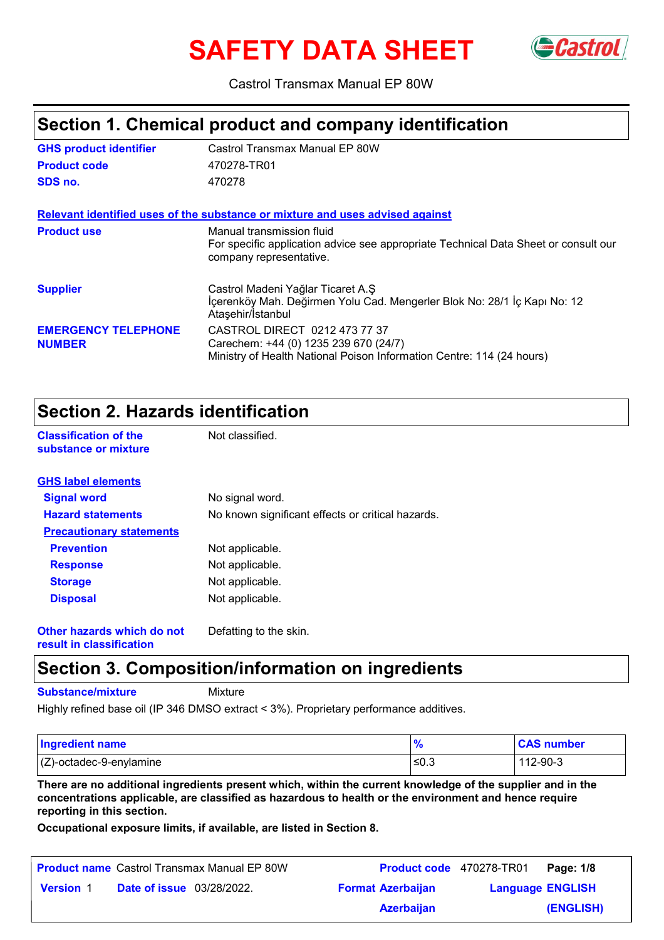# **SAFETY DATA SHEET**



Castrol Transmax Manual EP 80W

### **Section 1. Chemical product and company identification**

| <b>GHS product identifier</b>               | Castrol Transmax Manual EP 80W                                                                                                                  |
|---------------------------------------------|-------------------------------------------------------------------------------------------------------------------------------------------------|
| <b>Product code</b>                         | 470278-TR01                                                                                                                                     |
| SDS no.                                     | 470278                                                                                                                                          |
|                                             | Relevant identified uses of the substance or mixture and uses advised against                                                                   |
| <b>Product use</b>                          | Manual transmission fluid<br>For specific application advice see appropriate Technical Data Sheet or consult our<br>company representative.     |
| <b>Supplier</b>                             | Castrol Madeni Yağlar Ticaret A.Ş<br>İçerenköy Mah. Değirmen Yolu Cad. Mengerler Blok No: 28/1 İç Kapı No: 12<br>Ataşehir/İstanbul              |
| <b>EMERGENCY TELEPHONE</b><br><b>NUMBER</b> | CASTROL DIRECT 0212 473 77 37<br>Carechem: +44 (0) 1235 239 670 (24/7)<br>Ministry of Health National Poison Information Centre: 114 (24 hours) |

### **Section 2. Hazards identification**

**Classification of the Mot classified. substance or mixture**

| <b>GHS label elements</b>       |                                                   |
|---------------------------------|---------------------------------------------------|
| <b>Signal word</b>              | No signal word.                                   |
| <b>Hazard statements</b>        | No known significant effects or critical hazards. |
| <b>Precautionary statements</b> |                                                   |
| <b>Prevention</b>               | Not applicable.                                   |
| <b>Response</b>                 | Not applicable.                                   |
| <b>Storage</b>                  | Not applicable.                                   |
| <b>Disposal</b>                 | Not applicable.                                   |
| Other hazards which do not      | Defatting to the skin.                            |

**result in classification**

### **Section 3. Composition/information on ingredients**

**Substance/mixture**

**Mixture** 

Highly refined base oil (IP 346 DMSO extract < 3%). Proprietary performance additives.

| <b>Ingredient name</b>     |      | <b>CAS number</b> |
|----------------------------|------|-------------------|
| $(Z)$ -octadec-9-enylamine | ≤0.3 | 112-90-3          |

**There are no additional ingredients present which, within the current knowledge of the supplier and in the concentrations applicable, are classified as hazardous to health or the environment and hence require reporting in this section.**

**Occupational exposure limits, if available, are listed in Section 8.**

|                  |                                  | <b>Product name</b> Castrol Transmax Manual EP 80W |                          | <b>Product code</b> 470278-TR01 | Page: 1/8 |
|------------------|----------------------------------|----------------------------------------------------|--------------------------|---------------------------------|-----------|
| <b>Version 1</b> | <b>Date of issue</b> 03/28/2022. |                                                    | <b>Format Azerbaijan</b> | <b>Language ENGLISH</b>         |           |
|                  |                                  |                                                    | <b>Azerbaijan</b>        |                                 | (ENGLISH) |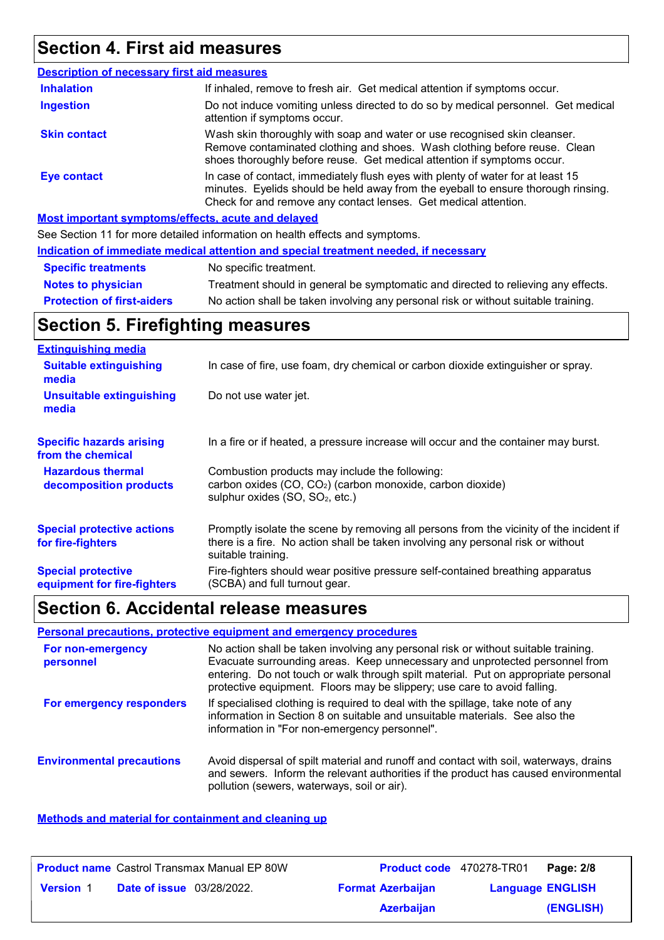# **Section 4. First aid measures**

| <b>Description of necessary first aid measures</b> |                                                                                                                                                                                                                                         |
|----------------------------------------------------|-----------------------------------------------------------------------------------------------------------------------------------------------------------------------------------------------------------------------------------------|
| <b>Inhalation</b>                                  | If inhaled, remove to fresh air. Get medical attention if symptoms occur.                                                                                                                                                               |
| <b>Ingestion</b>                                   | Do not induce vomiting unless directed to do so by medical personnel. Get medical<br>attention if symptoms occur.                                                                                                                       |
| <b>Skin contact</b>                                | Wash skin thoroughly with soap and water or use recognised skin cleanser.<br>Remove contaminated clothing and shoes. Wash clothing before reuse. Clean<br>shoes thoroughly before reuse. Get medical attention if symptoms occur.       |
| <b>Eye contact</b>                                 | In case of contact, immediately flush eyes with plenty of water for at least 15<br>minutes. Eyelids should be held away from the eyeball to ensure thorough rinsing.<br>Check for and remove any contact lenses. Get medical attention. |
|                                                    | Most important symptoms/effects, acute and delayed                                                                                                                                                                                      |
|                                                    | See Section 11 for more detailed information on booth offects and ournational                                                                                                                                                           |

See Section 11 for more detailed information on health effects and symptoms.

| Indication of immediate medical attention and special treatment needed, if necessary |                                                                                    |  |
|--------------------------------------------------------------------------------------|------------------------------------------------------------------------------------|--|
| <b>Specific treatments</b>                                                           | No specific treatment.                                                             |  |
| <b>Notes to physician</b>                                                            | Treatment should in general be symptomatic and directed to relieving any effects.  |  |
| <b>Protection of first-aiders</b>                                                    | No action shall be taken involving any personal risk or without suitable training. |  |

# **Section 5. Firefighting measures**

| <b>Extinguishing media</b>                               |                                                                                                                                                                                                   |
|----------------------------------------------------------|---------------------------------------------------------------------------------------------------------------------------------------------------------------------------------------------------|
| <b>Suitable extinguishing</b><br>media                   | In case of fire, use foam, dry chemical or carbon dioxide extinguisher or spray.                                                                                                                  |
| <b>Unsuitable extinguishing</b><br>media                 | Do not use water jet.                                                                                                                                                                             |
| <b>Specific hazards arising</b><br>from the chemical     | In a fire or if heated, a pressure increase will occur and the container may burst.                                                                                                               |
| <b>Hazardous thermal</b><br>decomposition products       | Combustion products may include the following:<br>carbon oxides (CO, CO <sub>2</sub> ) (carbon monoxide, carbon dioxide)<br>sulphur oxides (SO, SO <sub>2</sub> , etc.)                           |
| <b>Special protective actions</b><br>for fire-fighters   | Promptly isolate the scene by removing all persons from the vicinity of the incident if<br>there is a fire. No action shall be taken involving any personal risk or without<br>suitable training. |
| <b>Special protective</b><br>equipment for fire-fighters | Fire-fighters should wear positive pressure self-contained breathing apparatus<br>(SCBA) and full turnout gear.                                                                                   |

# **Section 6. Accidental release measures**

### **Personal precautions, protective equipment and emergency procedures**

| For non-emergency<br>personnel   | No action shall be taken involving any personal risk or without suitable training.<br>Evacuate surrounding areas. Keep unnecessary and unprotected personnel from<br>entering. Do not touch or walk through spilt material. Put on appropriate personal<br>protective equipment. Floors may be slippery; use care to avoid falling. |
|----------------------------------|-------------------------------------------------------------------------------------------------------------------------------------------------------------------------------------------------------------------------------------------------------------------------------------------------------------------------------------|
| For emergency responders         | If specialised clothing is required to deal with the spillage, take note of any<br>information in Section 8 on suitable and unsuitable materials. See also the<br>information in "For non-emergency personnel".                                                                                                                     |
| <b>Environmental precautions</b> | Avoid dispersal of spilt material and runoff and contact with soil, waterways, drains<br>and sewers. Inform the relevant authorities if the product has caused environmental<br>pollution (sewers, waterways, soil or air).                                                                                                         |

### **Methods and material for containment and cleaning up**

|                  | <b>Product name</b> Castrol Transmax Manual EP 80W | Product code 470278-TR01 |                         | Page: 2/8 |
|------------------|----------------------------------------------------|--------------------------|-------------------------|-----------|
| <b>Version 1</b> | <b>Date of issue</b> 03/28/2022.                   | <b>Format Azerbaijan</b> | <b>Language ENGLISH</b> |           |
|                  |                                                    | <b>Azerbaijan</b>        |                         | (ENGLISH) |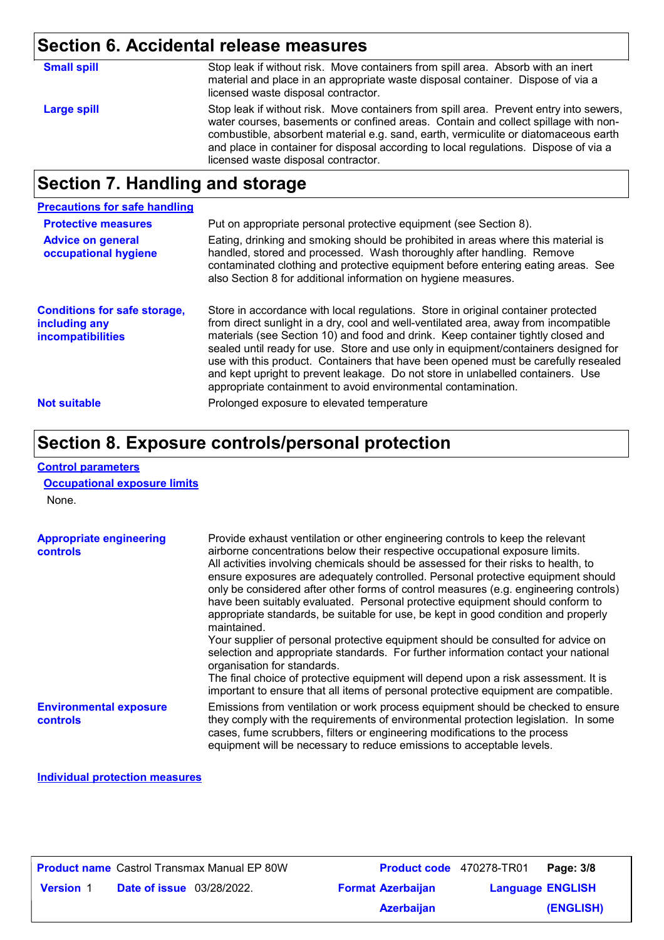# **Section 6. Accidental release measures**

| <b>Small spill</b> | Stop leak if without risk. Move containers from spill area. Absorb with an inert<br>material and place in an appropriate waste disposal container. Dispose of via a<br>licensed waste disposal contractor.                                                                                                                                                                                         |
|--------------------|----------------------------------------------------------------------------------------------------------------------------------------------------------------------------------------------------------------------------------------------------------------------------------------------------------------------------------------------------------------------------------------------------|
| Large spill        | Stop leak if without risk. Move containers from spill area. Prevent entry into sewers,<br>water courses, basements or confined areas. Contain and collect spillage with non-<br>combustible, absorbent material e.g. sand, earth, vermiculite or diatomaceous earth<br>and place in container for disposal according to local regulations. Dispose of via a<br>licensed waste disposal contractor. |
|                    |                                                                                                                                                                                                                                                                                                                                                                                                    |

# **Section 7. Handling and storage**

| <b>Precautions for safe handling</b>                                      |                                                                                                                                                                                                                                                                                                                                                                                                                                                                                                                                                                                                |
|---------------------------------------------------------------------------|------------------------------------------------------------------------------------------------------------------------------------------------------------------------------------------------------------------------------------------------------------------------------------------------------------------------------------------------------------------------------------------------------------------------------------------------------------------------------------------------------------------------------------------------------------------------------------------------|
| <b>Protective measures</b>                                                | Put on appropriate personal protective equipment (see Section 8).                                                                                                                                                                                                                                                                                                                                                                                                                                                                                                                              |
| <b>Advice on general</b><br>occupational hygiene                          | Eating, drinking and smoking should be prohibited in areas where this material is<br>handled, stored and processed. Wash thoroughly after handling. Remove<br>contaminated clothing and protective equipment before entering eating areas. See<br>also Section 8 for additional information on hygiene measures.                                                                                                                                                                                                                                                                               |
| <b>Conditions for safe storage,</b><br>including any<br>incompatibilities | Store in accordance with local regulations. Store in original container protected<br>from direct sunlight in a dry, cool and well-ventilated area, away from incompatible<br>materials (see Section 10) and food and drink. Keep container tightly closed and<br>sealed until ready for use. Store and use only in equipment/containers designed for<br>use with this product. Containers that have been opened must be carefully resealed<br>and kept upright to prevent leakage. Do not store in unlabelled containers. Use<br>appropriate containment to avoid environmental contamination. |
| <b>Not suitable</b>                                                       | Prolonged exposure to elevated temperature                                                                                                                                                                                                                                                                                                                                                                                                                                                                                                                                                     |

## **Section 8. Exposure controls/personal protection**

#### **Control parameters**

**Occupational exposure limits**

None.

| <b>Appropriate engineering</b><br><b>controls</b> | Provide exhaust ventilation or other engineering controls to keep the relevant<br>airborne concentrations below their respective occupational exposure limits.<br>All activities involving chemicals should be assessed for their risks to health, to<br>ensure exposures are adequately controlled. Personal protective equipment should<br>only be considered after other forms of control measures (e.g. engineering controls)<br>have been suitably evaluated. Personal protective equipment should conform to<br>appropriate standards, be suitable for use, be kept in good condition and properly<br>maintained.<br>Your supplier of personal protective equipment should be consulted for advice on<br>selection and appropriate standards. For further information contact your national<br>organisation for standards.<br>The final choice of protective equipment will depend upon a risk assessment. It is<br>important to ensure that all items of personal protective equipment are compatible. |
|---------------------------------------------------|---------------------------------------------------------------------------------------------------------------------------------------------------------------------------------------------------------------------------------------------------------------------------------------------------------------------------------------------------------------------------------------------------------------------------------------------------------------------------------------------------------------------------------------------------------------------------------------------------------------------------------------------------------------------------------------------------------------------------------------------------------------------------------------------------------------------------------------------------------------------------------------------------------------------------------------------------------------------------------------------------------------|
| <b>Environmental exposure</b><br><b>controls</b>  | Emissions from ventilation or work process equipment should be checked to ensure<br>they comply with the requirements of environmental protection legislation. In some<br>cases, fume scrubbers, filters or engineering modifications to the process                                                                                                                                                                                                                                                                                                                                                                                                                                                                                                                                                                                                                                                                                                                                                          |

equipment will be necessary to reduce emissions to acceptable levels.

### **Individual protection measures**

| <b>Product name</b> Castrol Transmax Manual EP 80W |                                  |  | Product code 470278-TR01 | Page: 3/8               |           |
|----------------------------------------------------|----------------------------------|--|--------------------------|-------------------------|-----------|
| <b>Version 1</b>                                   | <b>Date of issue</b> 03/28/2022. |  | <b>Format Azerbaijan</b> | <b>Language ENGLISH</b> |           |
|                                                    |                                  |  | <b>Azerbaijan</b>        |                         | (ENGLISH) |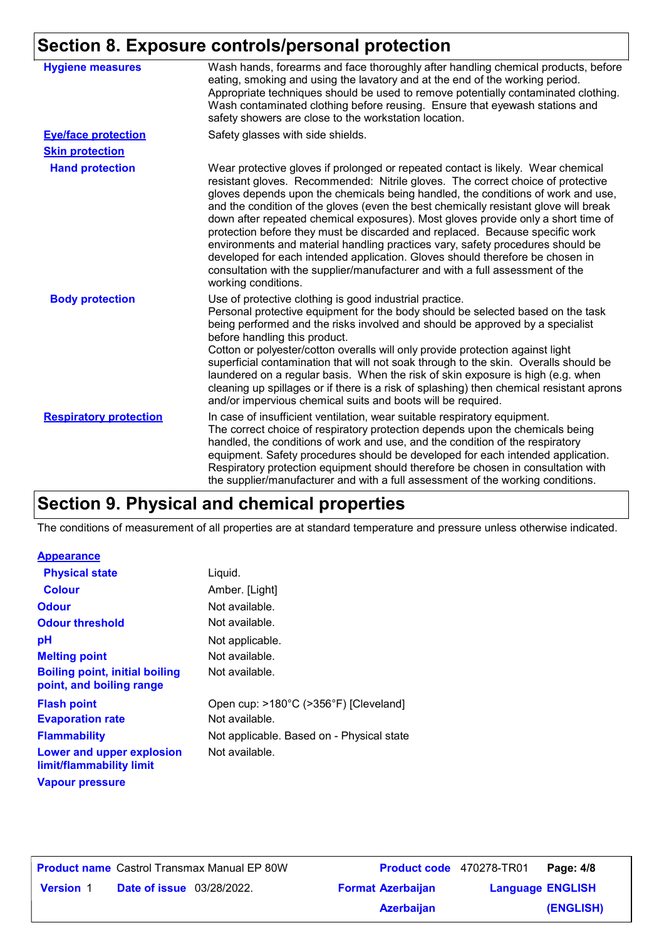### **Section 8. Exposure controls/personal protection**

| <b>Hygiene measures</b>       | Wash hands, forearms and face thoroughly after handling chemical products, before<br>eating, smoking and using the lavatory and at the end of the working period.<br>Appropriate techniques should be used to remove potentially contaminated clothing.<br>Wash contaminated clothing before reusing. Ensure that eyewash stations and<br>safety showers are close to the workstation location.                                                                                                                                                                                                                                                                                                                                                                                                 |
|-------------------------------|-------------------------------------------------------------------------------------------------------------------------------------------------------------------------------------------------------------------------------------------------------------------------------------------------------------------------------------------------------------------------------------------------------------------------------------------------------------------------------------------------------------------------------------------------------------------------------------------------------------------------------------------------------------------------------------------------------------------------------------------------------------------------------------------------|
| <b>Eye/face protection</b>    | Safety glasses with side shields.                                                                                                                                                                                                                                                                                                                                                                                                                                                                                                                                                                                                                                                                                                                                                               |
| <b>Skin protection</b>        |                                                                                                                                                                                                                                                                                                                                                                                                                                                                                                                                                                                                                                                                                                                                                                                                 |
| <b>Hand protection</b>        | Wear protective gloves if prolonged or repeated contact is likely. Wear chemical<br>resistant gloves. Recommended: Nitrile gloves. The correct choice of protective<br>gloves depends upon the chemicals being handled, the conditions of work and use,<br>and the condition of the gloves (even the best chemically resistant glove will break<br>down after repeated chemical exposures). Most gloves provide only a short time of<br>protection before they must be discarded and replaced. Because specific work<br>environments and material handling practices vary, safety procedures should be<br>developed for each intended application. Gloves should therefore be chosen in<br>consultation with the supplier/manufacturer and with a full assessment of the<br>working conditions. |
| <b>Body protection</b>        | Use of protective clothing is good industrial practice.<br>Personal protective equipment for the body should be selected based on the task<br>being performed and the risks involved and should be approved by a specialist<br>before handling this product.<br>Cotton or polyester/cotton overalls will only provide protection against light<br>superficial contamination that will not soak through to the skin. Overalls should be<br>laundered on a regular basis. When the risk of skin exposure is high (e.g. when<br>cleaning up spillages or if there is a risk of splashing) then chemical resistant aprons<br>and/or impervious chemical suits and boots will be required.                                                                                                           |
| <b>Respiratory protection</b> | In case of insufficient ventilation, wear suitable respiratory equipment.<br>The correct choice of respiratory protection depends upon the chemicals being<br>handled, the conditions of work and use, and the condition of the respiratory<br>equipment. Safety procedures should be developed for each intended application.<br>Respiratory protection equipment should therefore be chosen in consultation with<br>the supplier/manufacturer and with a full assessment of the working conditions.                                                                                                                                                                                                                                                                                           |

### **Section 9. Physical and chemical properties**

The conditions of measurement of all properties are at standard temperature and pressure unless otherwise indicated.

### **Appearance**

| <b>Physical state</b>                                             | Liquid.                                   |
|-------------------------------------------------------------------|-------------------------------------------|
| <b>Colour</b>                                                     | Amber. [Light]                            |
| <b>Odour</b>                                                      | Not available.                            |
| <b>Odour threshold</b>                                            | Not available.                            |
| рH                                                                | Not applicable.                           |
| <b>Melting point</b>                                              | Not available.                            |
| <b>Boiling point, initial boiling</b><br>point, and boiling range | Not available.                            |
| <b>Flash point</b>                                                | Open cup: >180°C (>356°F) [Cleveland]     |
| <b>Evaporation rate</b>                                           | Not available.                            |
| <b>Flammability</b>                                               | Not applicable. Based on - Physical state |
| Lower and upper explosion<br>limit/flammability limit             | Not available.                            |
| <b>Vapour pressure</b>                                            |                                           |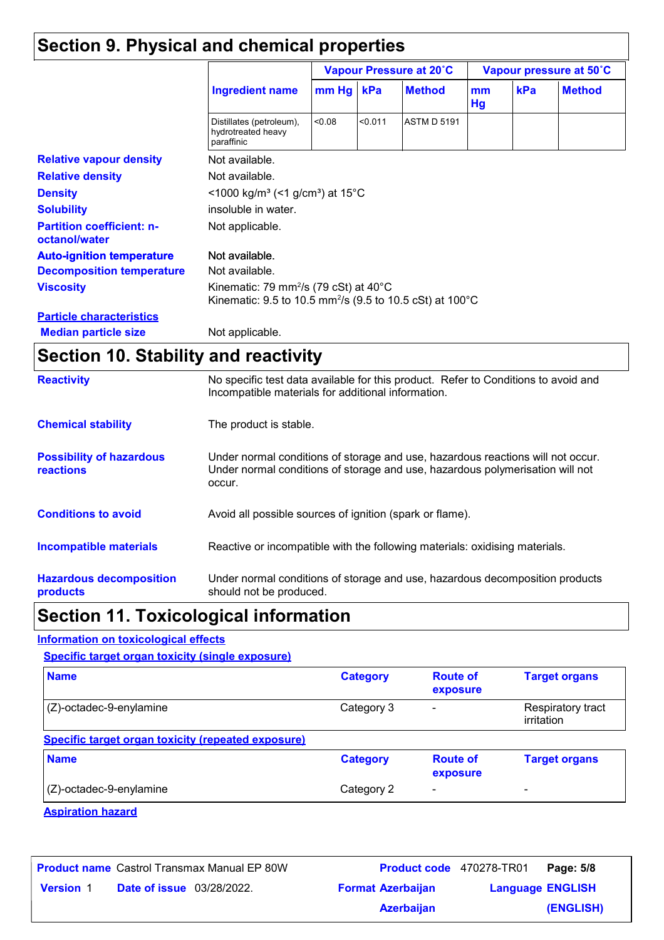# **Section 9. Physical and chemical properties**

|                                                   | <b>Ingredient name</b>                                                                                                                | Vapour Pressure at 20°C                                 |         |                    | Vapour pressure at 50°C |     |               |
|---------------------------------------------------|---------------------------------------------------------------------------------------------------------------------------------------|---------------------------------------------------------|---------|--------------------|-------------------------|-----|---------------|
|                                                   |                                                                                                                                       | $mm$ Hg                                                 | kPa     | <b>Method</b>      | mm<br>Hg                | kPa | <b>Method</b> |
|                                                   | Distillates (petroleum),<br>hydrotreated heavy<br>paraffinic                                                                          | < 0.08                                                  | < 0.011 | <b>ASTM D 5191</b> |                         |     |               |
| <b>Relative vapour density</b>                    | Not available.                                                                                                                        |                                                         |         |                    |                         |     |               |
| <b>Relative density</b>                           | Not available.                                                                                                                        |                                                         |         |                    |                         |     |               |
| <b>Density</b>                                    |                                                                                                                                       | <1000 kg/m <sup>3</sup> (<1 g/cm <sup>3</sup> ) at 15°C |         |                    |                         |     |               |
| <b>Solubility</b>                                 | insoluble in water.                                                                                                                   |                                                         |         |                    |                         |     |               |
| <b>Partition coefficient: n-</b><br>octanol/water | Not applicable.                                                                                                                       |                                                         |         |                    |                         |     |               |
| <b>Auto-ignition temperature</b>                  | Not available.                                                                                                                        |                                                         |         |                    |                         |     |               |
| <b>Decomposition temperature</b>                  | Not available.                                                                                                                        |                                                         |         |                    |                         |     |               |
| <b>Viscosity</b>                                  | Kinematic: 79 mm <sup>2</sup> /s (79 cSt) at 40 $^{\circ}$ C<br>Kinematic: 9.5 to 10.5 mm <sup>2</sup> /s (9.5 to 10.5 cSt) at 100 °C |                                                         |         |                    |                         |     |               |
| <b>Particle characteristics</b>                   |                                                                                                                                       |                                                         |         |                    |                         |     |               |
| <b>Median particle size</b>                       | Not applicable.                                                                                                                       |                                                         |         |                    |                         |     |               |

# **Section 10. Stability and reactivity**

| <b>Reactivity</b>                            | No specific test data available for this product. Refer to Conditions to avoid and<br>Incompatible materials for additional information.                                   |
|----------------------------------------------|----------------------------------------------------------------------------------------------------------------------------------------------------------------------------|
| <b>Chemical stability</b>                    | The product is stable.                                                                                                                                                     |
| <b>Possibility of hazardous</b><br>reactions | Under normal conditions of storage and use, hazardous reactions will not occur.<br>Under normal conditions of storage and use, hazardous polymerisation will not<br>occur. |
| <b>Conditions to avoid</b>                   | Avoid all possible sources of ignition (spark or flame).                                                                                                                   |
| <b>Incompatible materials</b>                | Reactive or incompatible with the following materials: oxidising materials.                                                                                                |
| <b>Hazardous decomposition</b><br>products   | Under normal conditions of storage and use, hazardous decomposition products<br>should not be produced.                                                                    |

# **Section 11. Toxicological information**

### **Information on toxicological effects**

**Specific target organ toxicity (single exposure)**

| <b>Name</b>                                               | <b>Category</b> | <b>Route of</b><br>exposure | <b>Target organs</b>            |
|-----------------------------------------------------------|-----------------|-----------------------------|---------------------------------|
| (Z)-octadec-9-enylamine                                   | Category 3      |                             | Respiratory tract<br>irritation |
| <b>Specific target organ toxicity (repeated exposure)</b> |                 |                             |                                 |
| <b>Name</b>                                               | <b>Category</b> | <b>Route of</b><br>exposure | <b>Target organs</b>            |
| (Z)-octadec-9-enylamine                                   | Category 2      | -                           | ۰                               |

| <b>Product name</b> Castrol Transmax Manual EP 80W |                                  |  |                          | <b>Product code</b> 470278-TR01 | Page: 5/8 |
|----------------------------------------------------|----------------------------------|--|--------------------------|---------------------------------|-----------|
| <b>Version 1</b>                                   | <b>Date of issue</b> 03/28/2022. |  | <b>Format Azerbaijan</b> | <b>Language ENGLISH</b>         |           |
|                                                    |                                  |  | <b>Azerbaijan</b>        |                                 | (ENGLISH) |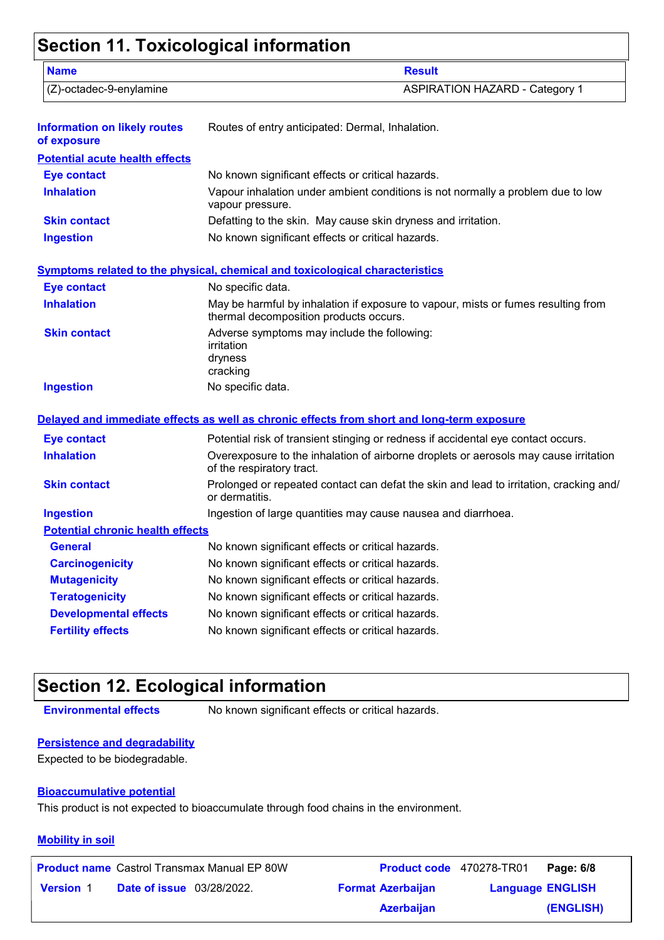# **Section 11. Toxicological information**

| <b>Name</b>                                        | <b>Result</b>                                                                                                               |
|----------------------------------------------------|-----------------------------------------------------------------------------------------------------------------------------|
| (Z)-octadec-9-enylamine                            | <b>ASPIRATION HAZARD - Category 1</b>                                                                                       |
| <b>Information on likely routes</b><br>of exposure | Routes of entry anticipated: Dermal, Inhalation.                                                                            |
| <b>Potential acute health effects</b>              |                                                                                                                             |
| <b>Eye contact</b>                                 | No known significant effects or critical hazards.                                                                           |
| <b>Inhalation</b>                                  | Vapour inhalation under ambient conditions is not normally a problem due to low<br>vapour pressure.                         |
| <b>Skin contact</b>                                | Defatting to the skin. May cause skin dryness and irritation.                                                               |
| <b>Ingestion</b>                                   | No known significant effects or critical hazards.                                                                           |
|                                                    | <b>Symptoms related to the physical, chemical and toxicological characteristics</b>                                         |
| <b>Eye contact</b>                                 | No specific data.                                                                                                           |
| <b>Inhalation</b>                                  | May be harmful by inhalation if exposure to vapour, mists or fumes resulting from<br>thermal decomposition products occurs. |
| <b>Skin contact</b>                                | Adverse symptoms may include the following:<br>irritation<br>dryness<br>cracking                                            |
| <b>Ingestion</b>                                   | No specific data.                                                                                                           |
|                                                    | Delayed and immediate effects as well as chronic effects from short and long-term exposure                                  |
| <b>Eye contact</b>                                 | Potential risk of transient stinging or redness if accidental eye contact occurs.                                           |
| <b>Inhalation</b>                                  | Overexposure to the inhalation of airborne droplets or aerosols may cause irritation<br>of the respiratory tract.           |
| <b>Skin contact</b>                                | Prolonged or repeated contact can defat the skin and lead to irritation, cracking and/<br>or dermatitis.                    |
| <b>Ingestion</b>                                   | Ingestion of large quantities may cause nausea and diarrhoea.                                                               |
| <b>Potential chronic health effects</b>            |                                                                                                                             |
| General                                            | No known significant effects or critical hazards.                                                                           |
| <b>Carcinogenicity</b>                             | No known significant effects or critical hazards.                                                                           |
| <b>Mutagenicity</b>                                | No known significant effects or critical hazards.                                                                           |
| <b>Teratogenicity</b>                              | No known significant effects or critical hazards.                                                                           |
| <b>Developmental effects</b>                       | No known significant effects or critical hazards.                                                                           |

# **Section 12. Ecological information**

**Environmental effects** No known significant effects or critical hazards.

### **Persistence and degradability**

Expected to be biodegradable.

### **Bioaccumulative potential**

This product is not expected to bioaccumulate through food chains in the environment.

**Fertility effects** No known significant effects or critical hazards.

### **Mobility in soil**

|                  |                                  | <b>Product name</b> Castrol Transmax Manual EP 80W | Product code 470278-TR01 |                         | Page: 6/8 |
|------------------|----------------------------------|----------------------------------------------------|--------------------------|-------------------------|-----------|
| <b>Version 1</b> | <b>Date of issue</b> 03/28/2022. |                                                    | <b>Format Azerbaijan</b> | <b>Language ENGLISH</b> |           |
|                  |                                  |                                                    | <b>Azerbaijan</b>        |                         | (ENGLISH) |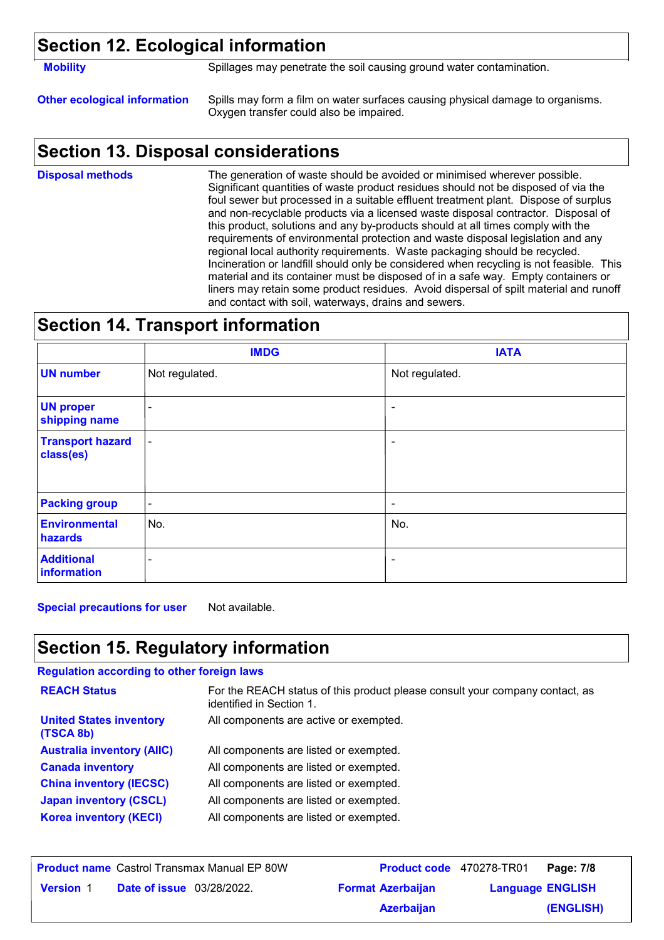### **Section 12. Ecological information**

**Mobility** Spillages may penetrate the soil causing ground water contamination.

**Other ecological information** Spills may form a film on water surfaces causing physical damage to organisms. Oxygen transfer could also be impaired.

### **Section 13. Disposal considerations**

The generation of waste should be avoided or minimised wherever possible. Significant quantities of waste product residues should not be disposed of via the foul sewer but processed in a suitable effluent treatment plant. Dispose of surplus and non-recyclable products via a licensed waste disposal contractor. Disposal of this product, solutions and any by-products should at all times comply with the requirements of environmental protection and waste disposal legislation and any regional local authority requirements. Waste packaging should be recycled. Incineration or landfill should only be considered when recycling is not feasible. This material and its container must be disposed of in a safe way. Empty containers or liners may retain some product residues. Avoid dispersal of spilt material and runoff and contact with soil, waterways, drains and sewers. **Disposal methods**

### **Section 14. Transport information**

|                                      | <b>IMDG</b>              | <b>IATA</b>    |
|--------------------------------------|--------------------------|----------------|
| <b>UN number</b>                     | Not regulated.           | Not regulated. |
| <b>UN proper</b><br>shipping name    | ۰                        |                |
| <b>Transport hazard</b><br>class(es) | $\blacksquare$           | ۰              |
| <b>Packing group</b>                 | $\blacksquare$           | ٠              |
| <b>Environmental</b><br>hazards      | No.                      | No.            |
| <b>Additional</b><br>information     | $\overline{\phantom{a}}$ | ۰              |

**Special precautions for user** Not available.

# **Section 15. Regulatory information**

### **Regulation according to other foreign laws**

| <b>REACH Status</b>                         | For the REACH status of this product please consult your company contact, as<br>identified in Section 1. |
|---------------------------------------------|----------------------------------------------------------------------------------------------------------|
| <b>United States inventory</b><br>(TSCA 8b) | All components are active or exempted.                                                                   |
| <b>Australia inventory (AIIC)</b>           | All components are listed or exempted.                                                                   |
| <b>Canada inventory</b>                     | All components are listed or exempted.                                                                   |
| <b>China inventory (IECSC)</b>              | All components are listed or exempted.                                                                   |
| <b>Japan inventory (CSCL)</b>               | All components are listed or exempted.                                                                   |
| <b>Korea inventory (KECI)</b>               | All components are listed or exempted.                                                                   |

| <b>Product name</b> Castrol Transmax Manual EP 80W   |                          | <b>Product code</b> 470278-TR01 | Page: 7/8 |
|------------------------------------------------------|--------------------------|---------------------------------|-----------|
| <b>Date of issue</b> 03/28/2022.<br><b>Version 1</b> | <b>Format Azerbaijan</b> | <b>Language ENGLISH</b>         |           |
|                                                      | <b>Azerbaijan</b>        |                                 | (ENGLISH) |